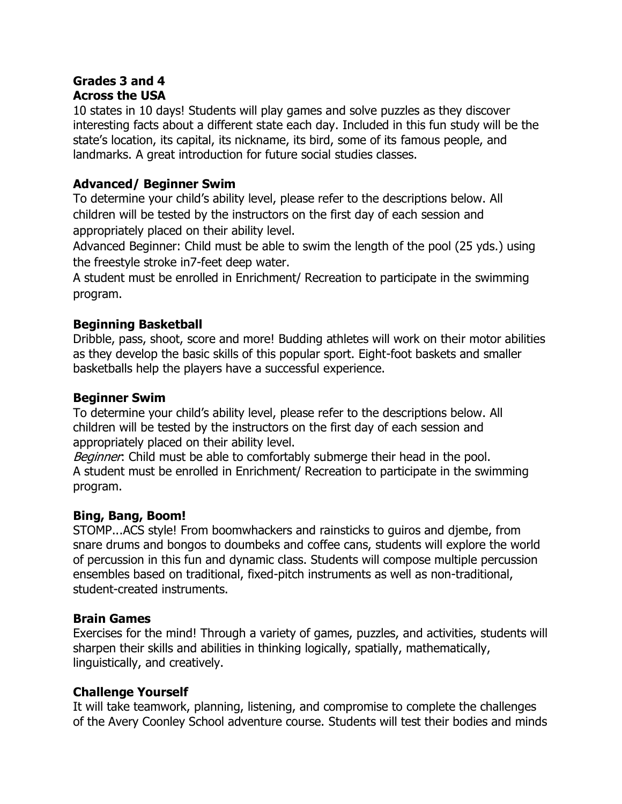## **Grades 3 and 4 Across the USA**

10 states in 10 days! Students will play games and solve puzzles as they discover interesting facts about a different state each day. Included in this fun study will be the state's location, its capital, its nickname, its bird, some of its famous people, and landmarks. A great introduction for future social studies classes.

## **Advanced/ Beginner Swim**

To determine your child's ability level, please refer to the descriptions below. All children will be tested by the instructors on the first day of each session and appropriately placed on their ability level.

Advanced Beginner: Child must be able to swim the length of the pool (25 yds.) using the freestyle stroke in7-feet deep water.

A student must be enrolled in Enrichment/ Recreation to participate in the swimming program.

## **Beginning Basketball**

Dribble, pass, shoot, score and more! Budding athletes will work on their motor abilities as they develop the basic skills of this popular sport. Eight-foot baskets and smaller basketballs help the players have a successful experience.

## **Beginner Swim**

To determine your child's ability level, please refer to the descriptions below. All children will be tested by the instructors on the first day of each session and appropriately placed on their ability level.

Beginner: Child must be able to comfortably submerge their head in the pool. A student must be enrolled in Enrichment/ Recreation to participate in the swimming program.

## **Bing, Bang, Boom!**

STOMP...ACS style! From boomwhackers and rainsticks to guiros and djembe, from snare drums and bongos to doumbeks and coffee cans, students will explore the world of percussion in this fun and dynamic class. Students will compose multiple percussion ensembles based on traditional, fixed-pitch instruments as well as non-traditional, student-created instruments.

## **Brain Games**

Exercises for the mind! Through a variety of games, puzzles, and activities, students will sharpen their skills and abilities in thinking logically, spatially, mathematically, linguistically, and creatively.

## **Challenge Yourself**

It will take teamwork, planning, listening, and compromise to complete the challenges of the Avery Coonley School adventure course. Students will test their bodies and minds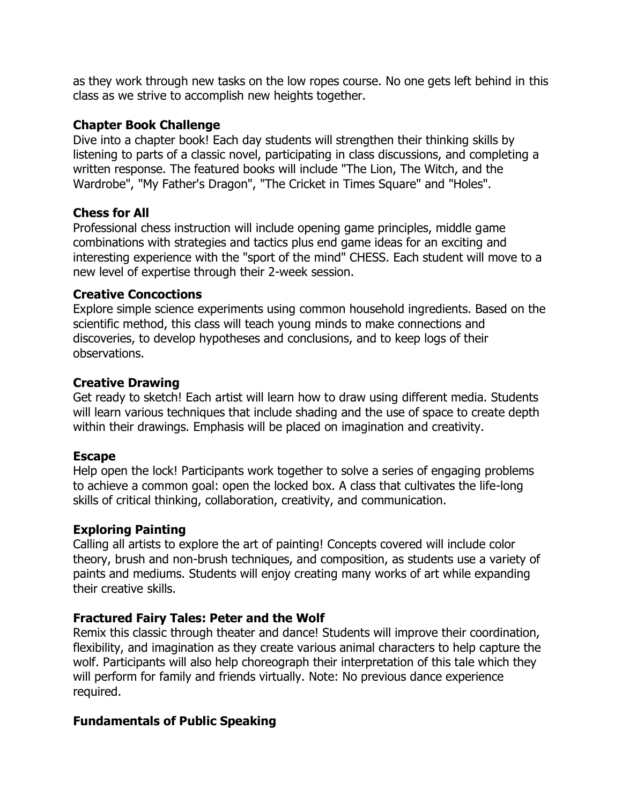as they work through new tasks on the low ropes course. No one gets left behind in this class as we strive to accomplish new heights together.

#### **Chapter Book Challenge**

Dive into a chapter book! Each day students will strengthen their thinking skills by listening to parts of a classic novel, participating in class discussions, and completing a written response. The featured books will include "The Lion, The Witch, and the Wardrobe", "My Father's Dragon", "The Cricket in Times Square" and "Holes".

#### **Chess for All**

Professional chess instruction will include opening game principles, middle game combinations with strategies and tactics plus end game ideas for an exciting and interesting experience with the "sport of the mind" CHESS. Each student will move to a new level of expertise through their 2-week session.

#### **Creative Concoctions**

Explore simple science experiments using common household ingredients. Based on the scientific method, this class will teach young minds to make connections and discoveries, to develop hypotheses and conclusions, and to keep logs of their observations.

#### **Creative Drawing**

Get ready to sketch! Each artist will learn how to draw using different media. Students will learn various techniques that include shading and the use of space to create depth within their drawings. Emphasis will be placed on imagination and creativity.

#### **Escape**

Help open the lock! Participants work together to solve a series of engaging problems to achieve a common goal: open the locked box. A class that cultivates the life-long skills of critical thinking, collaboration, creativity, and communication.

### **Exploring Painting**

Calling all artists to explore the art of painting! Concepts covered will include color theory, brush and non-brush techniques, and composition, as students use a variety of paints and mediums. Students will enjoy creating many works of art while expanding their creative skills.

### **Fractured Fairy Tales: Peter and the Wolf**

Remix this classic through theater and dance! Students will improve their coordination, flexibility, and imagination as they create various animal characters to help capture the wolf. Participants will also help choreograph their interpretation of this tale which they will perform for family and friends virtually. Note: No previous dance experience required.

### **Fundamentals of Public Speaking**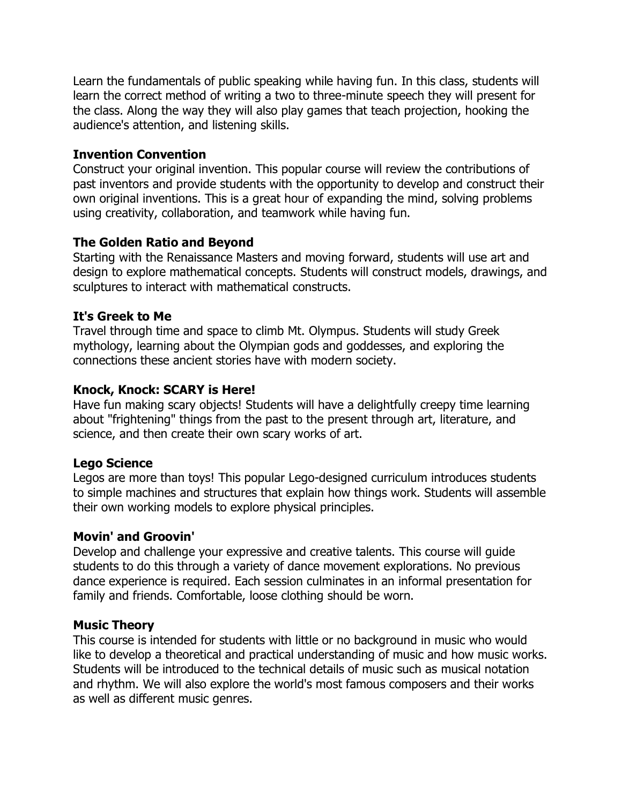Learn the fundamentals of public speaking while having fun. In this class, students will learn the correct method of writing a two to three-minute speech they will present for the class. Along the way they will also play games that teach projection, hooking the audience's attention, and listening skills.

#### **Invention Convention**

Construct your original invention. This popular course will review the contributions of past inventors and provide students with the opportunity to develop and construct their own original inventions. This is a great hour of expanding the mind, solving problems using creativity, collaboration, and teamwork while having fun.

### **The Golden Ratio and Beyond**

Starting with the Renaissance Masters and moving forward, students will use art and design to explore mathematical concepts. Students will construct models, drawings, and sculptures to interact with mathematical constructs.

### **It's Greek to Me**

Travel through time and space to climb Mt. Olympus. Students will study Greek mythology, learning about the Olympian gods and goddesses, and exploring the connections these ancient stories have with modern society.

### **Knock, Knock: SCARY is Here!**

Have fun making scary objects! Students will have a delightfully creepy time learning about "frightening" things from the past to the present through art, literature, and science, and then create their own scary works of art.

## **Lego Science**

Legos are more than toys! This popular Lego-designed curriculum introduces students to simple machines and structures that explain how things work. Students will assemble their own working models to explore physical principles.

### **Movin' and Groovin'**

Develop and challenge your expressive and creative talents. This course will guide students to do this through a variety of dance movement explorations. No previous dance experience is required. Each session culminates in an informal presentation for family and friends. Comfortable, loose clothing should be worn.

### **Music Theory**

This course is intended for students with little or no background in music who would like to develop a theoretical and practical understanding of music and how music works. Students will be introduced to the technical details of music such as musical notation and rhythm. We will also explore the world's most famous composers and their works as well as different music genres.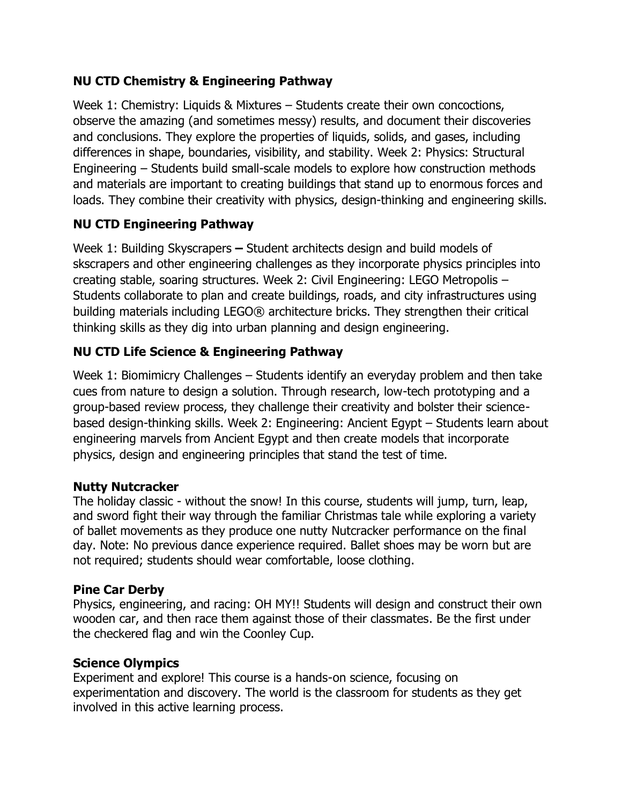## **NU CTD Chemistry & Engineering Pathway**

Week 1: Chemistry: Liquids & Mixtures  $-$  Students create their own concoctions, observe the amazing (and sometimes messy) results, and document their discoveries and conclusions. They explore the properties of liquids, solids, and gases, including differences in shape, boundaries, visibility, and stability. Week 2: Physics: Structural Engineering  $-$  Students build small-scale models to explore how construction methods and materials are important to creating buildings that stand up to enormous forces and loads. They combine their creativity with physics, design-thinking and engineering skills.

## **NU CTD Engineering Pathway**

Week 1: Building Skyscrapers **–** Student architects design and build models of skscrapers and other engineering challenges as they incorporate physics principles into creating stable, soaring structures. Week 2: Civil Engineering: LEGO Metropolis  $-$ Students collaborate to plan and create buildings, roads, and city infrastructures using building materials including LEGO® architecture bricks. They strengthen their critical thinking skills as they dig into urban planning and design engineering.

# **NU CTD Life Science & Engineering Pathway**

Week 1: Biomimicry Challenges  $-$  Students identify an everyday problem and then take cues from nature to design a solution. Through research, low-tech prototyping and a group-based review process, they challenge their creativity and bolster their sciencebased design-thinking skills. Week 2: Engineering: Ancient Egypt - Students learn about engineering marvels from Ancient Egypt and then create models that incorporate physics, design and engineering principles that stand the test of time.

### **Nutty Nutcracker**

The holiday classic - without the snow! In this course, students will jump, turn, leap, and sword fight their way through the familiar Christmas tale while exploring a variety of ballet movements as they produce one nutty Nutcracker performance on the final day. Note: No previous dance experience required. Ballet shoes may be worn but are not required; students should wear comfortable, loose clothing.

## **Pine Car Derby**

Physics, engineering, and racing: OH MY!! Students will design and construct their own wooden car, and then race them against those of their classmates. Be the first under the checkered flag and win the Coonley Cup.

## **Science Olympics**

Experiment and explore! This course is a hands-on science, focusing on experimentation and discovery. The world is the classroom for students as they get involved in this active learning process.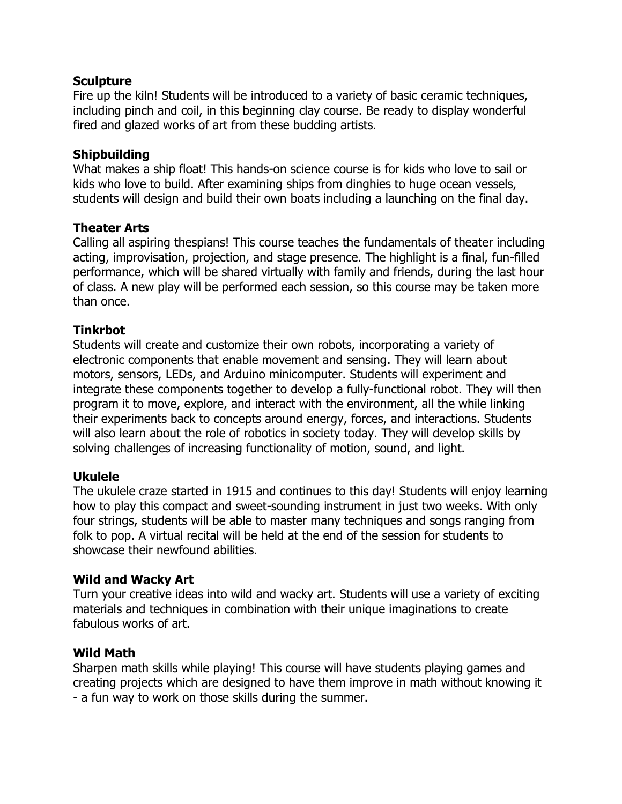#### **Sculpture**

Fire up the kiln! Students will be introduced to a variety of basic ceramic techniques, including pinch and coil, in this beginning clay course. Be ready to display wonderful fired and glazed works of art from these budding artists.

#### **Shipbuilding**

What makes a ship float! This hands-on science course is for kids who love to sail or kids who love to build. After examining ships from dinghies to huge ocean vessels, students will design and build their own boats including a launching on the final day.

#### **Theater Arts**

Calling all aspiring thespians! This course teaches the fundamentals of theater including acting, improvisation, projection, and stage presence. The highlight is a final, fun-filled performance, which will be shared virtually with family and friends, during the last hour of class. A new play will be performed each session, so this course may be taken more than once.

### **Tinkrbot**

Students will create and customize their own robots, incorporating a variety of electronic components that enable movement and sensing. They will learn about motors, sensors, LEDs, and Arduino minicomputer. Students will experiment and integrate these components together to develop a fully-functional robot. They will then program it to move, explore, and interact with the environment, all the while linking their experiments back to concepts around energy, forces, and interactions. Students will also learn about the role of robotics in society today. They will develop skills by solving challenges of increasing functionality of motion, sound, and light.

#### **Ukulele**

The ukulele craze started in 1915 and continues to this day! Students will enjoy learning how to play this compact and sweet-sounding instrument in just two weeks. With only four strings, students will be able to master many techniques and songs ranging from folk to pop. A virtual recital will be held at the end of the session for students to showcase their newfound abilities.

#### **Wild and Wacky Art**

Turn your creative ideas into wild and wacky art. Students will use a variety of exciting materials and techniques in combination with their unique imaginations to create fabulous works of art.

#### **Wild Math**

Sharpen math skills while playing! This course will have students playing games and creating projects which are designed to have them improve in math without knowing it - a fun way to work on those skills during the summer.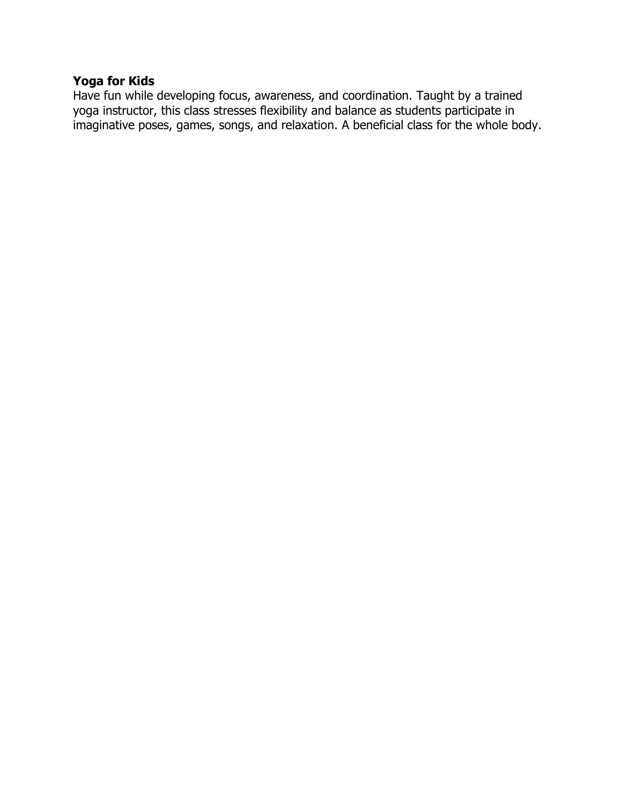### **Yoga for Kids**

Have fun while developing focus, awareness, and coordination. Taught by a trained yoga instructor, this class stresses flexibility and balance as students participate in imaginative poses, games, songs, and relaxation. A beneficial class for the whole body.